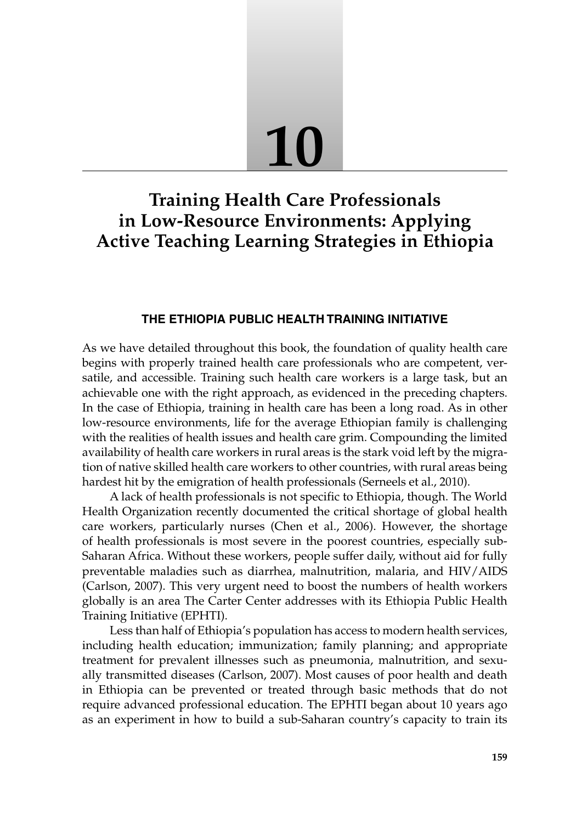# **10**

# **Training Health Care Professionals in Low-Resource Environments: Applying Active Teaching Learning Strategies in Ethiopia**

#### **THE ETHIOPIA PUBLIC HEALTH TRAINING INITIATIVE**

 As we have detailed throughout this book, the foundation of quality health care begins with properly trained health care professionals who are competent, versatile, and accessible. Training such health care workers is a large task, but an achievable one with the right approach, as evidenced in the preceding chapters. In the case of Ethiopia, training in health care has been a long road. As in other low-resource environments, life for the average Ethiopian family is challenging with the realities of health issues and health care grim. Compounding the limited availability of health care workers in rural areas is the stark void left by the migration of native skilled health care workers to other countries, with rural areas being hardest hit by the emigration of health professionals (Serneels et al., 2010).

 A lack of health professionals is not specific to Ethiopia, though. The World Health Organization recently documented the critical shortage of global health care workers, particularly nurses (Chen et al., 2006). However, the shortage of health professionals is most severe in the poorest countries, especially sub-Saharan Africa. Without these workers, people suffer daily, without aid for fully preventable maladies such as diarrhea, malnutrition, malaria, and HIV/AIDS (Carlson, 2007). This very urgent need to boost the numbers of health workers globally is an area The Carter Center addresses with its Ethiopia Public Health Training Initiative (EPHTI).

 Less than half of Ethiopia's population has access to modern health services, including health education; immunization; family planning; and appropriate treatment for prevalent illnesses such as pneumonia, malnutrition, and sexually transmitted diseases (Carlson, 2007). Most causes of poor health and death in Ethiopia can be prevented or treated through basic methods that do not require advanced professional education. The EPHTI began about 10 years ago as an experiment in how to build a sub-Saharan country's capacity to train its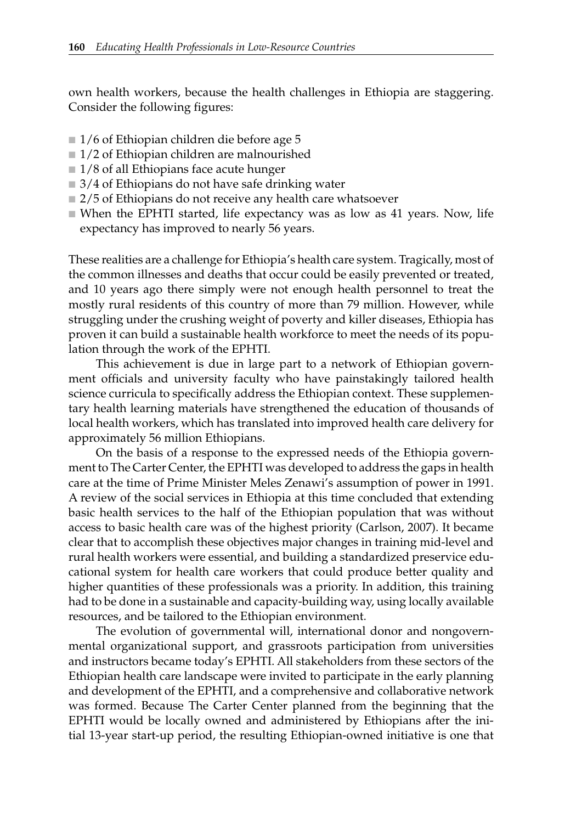own health workers, because the health challenges in Ethiopia are staggering. Consider the following figures:

- 1/6 of Ethiopian children die before age 5
- 1/2 of Ethiopian children are malnourished
- 1/8 of all Ethiopians face acute hunger
- 3/4 of Ethiopians do not have safe drinking water
- 2/5 of Ethiopians do not receive any health care whatsoever
- When the EPHTI started, life expectancy was as low as 41 years. Now, life expectancy has improved to nearly 56 years.

 These realities are a challenge for Ethiopia's health care system. Tragically, most of the common illnesses and deaths that occur could be easily prevented or treated, and 10 years ago there simply were not enough health personnel to treat the mostly rural residents of this country of more than 79 million. However, while struggling under the crushing weight of poverty and killer diseases, Ethiopia has proven it can build a sustainable health workforce to meet the needs of its population through the work of the EPHTI.

 This achievement is due in large part to a network of Ethiopian government officials and university faculty who have painstakingly tailored health science curricula to specifically address the Ethiopian context. These supplementary health learning materials have strengthened the education of thousands of local health workers, which has translated into improved health care delivery for approximately 56 million Ethiopians.

 On the basis of a response to the expressed needs of the Ethiopia government to The Carter Center, the EPHTI was developed to address the gaps in health care at the time of Prime Minister Meles Zenawi's assumption of power in 1991. A review of the social services in Ethiopia at this time concluded that extending basic health services to the half of the Ethiopian population that was without access to basic health care was of the highest priority (Carlson, 2007). It became clear that to accomplish these objectives major changes in training mid-level and rural health workers were essential, and building a standardized preservice educational system for health care workers that could produce better quality and higher quantities of these professionals was a priority. In addition, this training had to be done in a sustainable and capacity-building way, using locally available resources, and be tailored to the Ethiopian environment.

 The evolution of governmental will, international donor and nongovernmental organizational support, and grassroots participation from universities and instructors became today's EPHTI. All stakeholders from these sectors of the Ethiopian health care landscape were invited to participate in the early planning and development of the EPHTI, and a comprehensive and collaborative network was formed. Because The Carter Center planned from the beginning that the EPHTI would be locally owned and administered by Ethiopians after the initial 13-year start-up period, the resulting Ethiopian-owned initiative is one that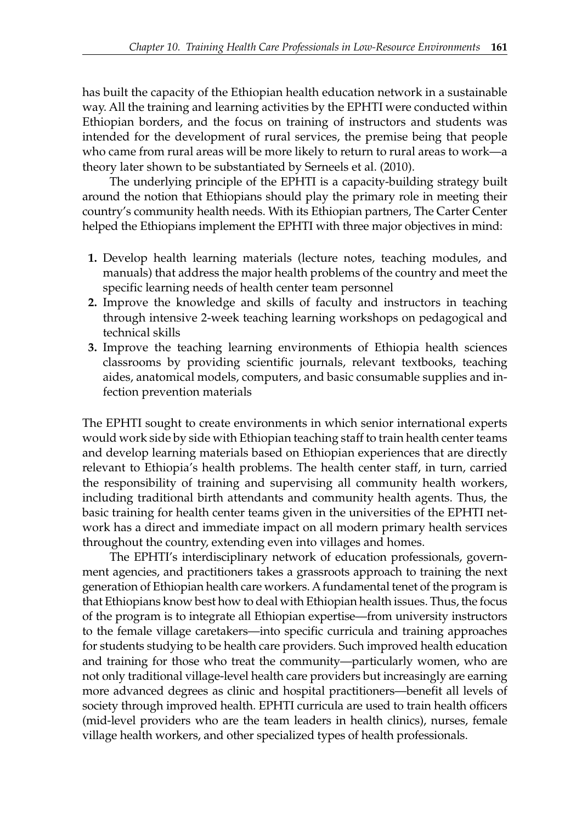has built the capacity of the Ethiopian health education network in a sustainable way. All the training and learning activities by the EPHTI were conducted within Ethiopian borders, and the focus on training of instructors and students was intended for the development of rural services, the premise being that people who came from rural areas will be more likely to return to rural areas to work—a theory later shown to be substantiated by Serneels et al. (2010).

 The underlying principle of the EPHTI is a capacity-building strategy built around the notion that Ethiopians should play the primary role in meeting their country's community health needs. With its Ethiopian partners, The Carter Center helped the Ethiopians implement the EPHTI with three major objectives in mind:

- **1.** Develop health learning materials (lecture notes, teaching modules, and manuals) that address the major health problems of the country and meet the specific learning needs of health center team personnel
- **2.** Improve the knowledge and skills of faculty and instructors in teaching through intensive 2-week teaching learning workshops on pedagogical and technical skills
- **3.** Improve the teaching learning environments of Ethiopia health sciences classrooms by providing scientific journals, relevant textbooks, teaching aides, anatomical models, computers, and basic consumable supplies and infection prevention materials

 The EPHTI sought to create environments in which senior international experts would work side by side with Ethiopian teaching staff to train health center teams and develop learning materials based on Ethiopian experiences that are directly relevant to Ethiopia's health problems. The health center staff, in turn, carried the responsibility of training and supervising all community health workers, including traditional birth attendants and community health agents. Thus, the basic training for health center teams given in the universities of the EPHTI network has a direct and immediate impact on all modern primary health services throughout the country, extending even into villages and homes.

 The EPHTI's interdisciplinary network of education professionals, government agencies, and practitioners takes a grassroots approach to training the next generation of Ethiopian health care workers. A fundamental tenet of the program is that Ethiopians know best how to deal with Ethiopian health issues. Thus, the focus of the program is to integrate all Ethiopian expertise—from university instructors to the female village caretakers—into specific curricula and training approaches for students studying to be health care providers. Such improved health education and training for those who treat the community—particularly women, who are not only traditional village-level health care providers but increasingly are earning more advanced degrees as clinic and hospital practitioners—benefit all levels of society through improved health. EPHTI curricula are used to train health officers (mid-level providers who are the team leaders in health clinics), nurses, female village health workers, and other specialized types of health professionals.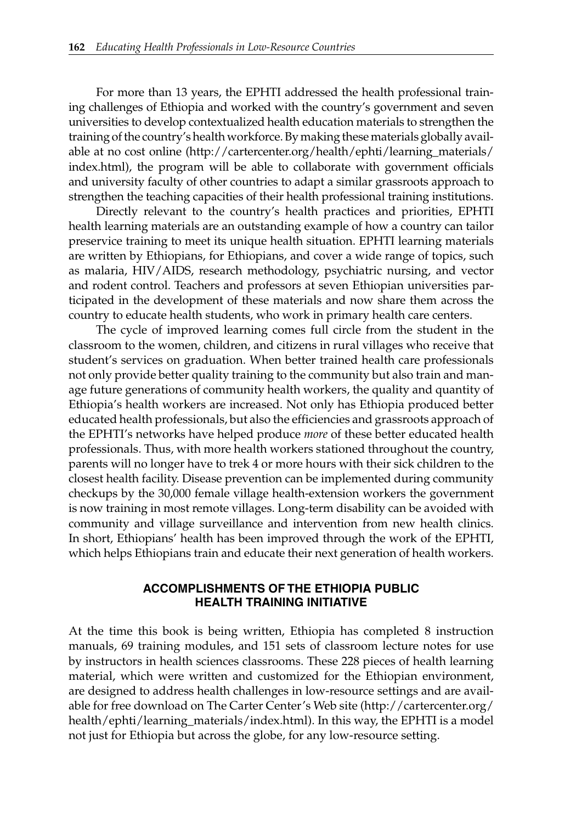For more than 13 years, the EPHTI addressed the health professional training challenges of Ethiopia and worked with the country's government and seven universities to develop contextualized health education materials to strengthen the training of the country's health workforce. By making these materials globally available at no cost online (http://cartercenter.org/health/ephti/learning\_materials/ index.html), the program will be able to collaborate with government officials and university faculty of other countries to adapt a similar grassroots approach to strengthen the teaching capacities of their health professional training institutions.

 Directly relevant to the country's health practices and priorities, EPHTI health learning materials are an outstanding example of how a country can tailor preservice training to meet its unique health situation. EPHTI learning materials are written by Ethiopians, for Ethiopians, and cover a wide range of topics, such as malaria, HIV/AIDS, research methodology, psychiatric nursing, and vector and rodent control. Teachers and professors at seven Ethiopian universities participated in the development of these materials and now share them across the country to educate health students, who work in primary health care centers.

 The cycle of improved learning comes full circle from the student in the classroom to the women, children, and citizens in rural villages who receive that student's services on graduation. When better trained health care professionals not only provide better quality training to the community but also train and manage future generations of community health workers, the quality and quantity of Ethiopia's health workers are increased. Not only has Ethiopia produced better educated health professionals, but also the efficiencies and grassroots approach of the EPHTI's networks have helped produce *more* of these better educated health professionals. Thus, with more health workers stationed throughout the country, parents will no longer have to trek 4 or more hours with their sick children to the closest health facility. Disease prevention can be implemented during community checkups by the 30,000 female village health-extension workers the government is now training in most remote villages. Long-term disability can be avoided with community and village surveillance and intervention from new health clinics. In short, Ethiopians' health has been improved through the work of the EPHTI, which helps Ethiopians train and educate their next generation of health workers.

#### **ACCOMPLISHMENTS OF THE ETHIOPIA PUBLIC HEALTH TRAINING INITIATIVE**

 At the time this book is being written, Ethiopia has completed 8 instruction manuals, 69 training modules, and 151 sets of classroom lecture notes for use by instructors in health sciences classrooms. These 228 pieces of health learning material, which were written and customized for the Ethiopian environment, are designed to address health challenges in low-resource settings and are available for free download on The Carter Center's Web site ( http://cartercenter.org/ health/ephti/learning\_materials/index.html). In this way, the EPHTI is a model not just for Ethiopia but across the globe, for any low-resource setting.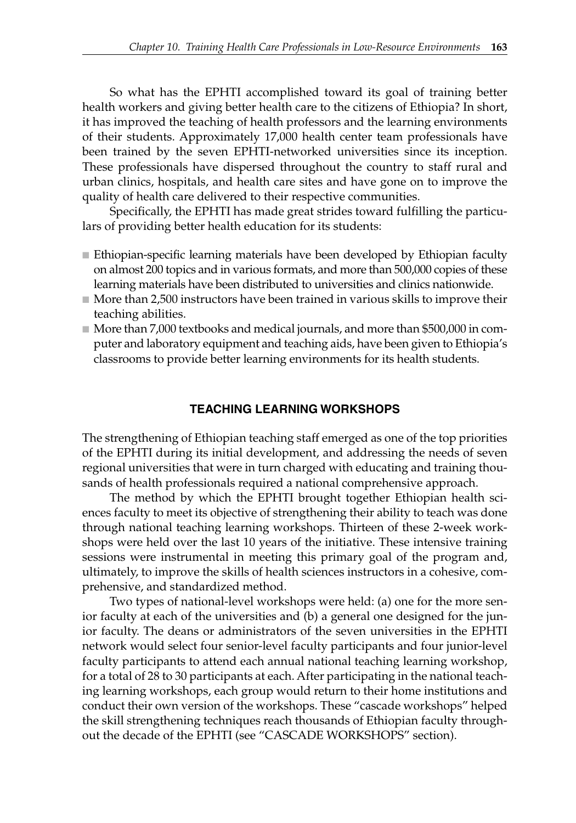So what has the EPHTI accomplished toward its goal of training better health workers and giving better health care to the citizens of Ethiopia? In short, it has improved the teaching of health professors and the learning environments of their students. Approximately 17,000 health center team professionals have been trained by the seven EPHTI-networked universities since its inception. These professionals have dispersed throughout the country to staff rural and urban clinics, hospitals, and health care sites and have gone on to improve the quality of health care delivered to their respective communities.

 Specifically, the EPHTI has made great strides toward fulfilling the particulars of providing better health education for its students:

- Ethiopian-specific learning materials have been developed by Ethiopian faculty on almost 200 topics and in various formats, and more than 500,000 copies of these learning materials have been distributed to universities and clinics nationwide.
- More than 2,500 instructors have been trained in various skills to improve their teaching abilities.
- More than 7,000 textbooks and medical journals, and more than \$500,000 in computer and laboratory equipment and teaching aids, have been given to Ethiopia's classrooms to provide better learning environments for its health students.

### **TEACHING LEARNING WORKSHOPS**

 The strengthening of Ethiopian teaching staff emerged as one of the top priorities of the EPHTI during its initial development, and addressing the needs of seven regional universities that were in turn charged with educating and training thousands of health professionals required a national comprehensive approach.

 The method by which the EPHTI brought together Ethiopian health sciences faculty to meet its objective of strengthening their ability to teach was done through national teaching learning workshops. Thirteen of these 2-week workshops were held over the last 10 years of the initiative. These intensive training sessions were instrumental in meeting this primary goal of the program and, ultimately, to improve the skills of health sciences instructors in a cohesive, comprehensive, and standardized method.

 Two types of national-level workshops were held: (a) one for the more senior faculty at each of the universities and (b) a general one designed for the junior faculty. The deans or administrators of the seven universities in the EPHTI network would select four senior-level faculty participants and four junior-level faculty participants to attend each annual national teaching learning workshop, for a total of 28 to 30 participants at each. After participating in the national teaching learning workshops, each group would return to their home institutions and conduct their own version of the workshops. These "cascade workshops" helped the skill strengthening techniques reach thousands of Ethiopian faculty throughout the decade of the EPHTI (see "CASCADE WORKSHOPS" section).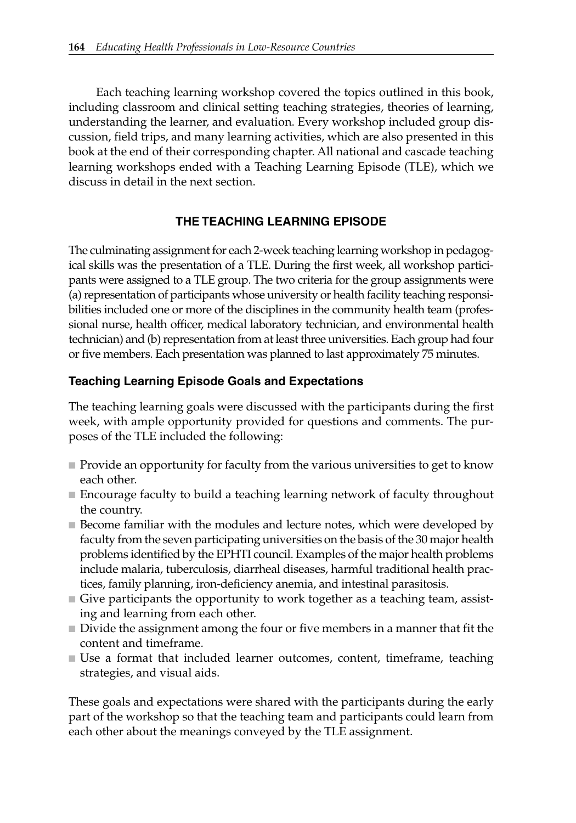Each teaching learning workshop covered the topics outlined in this book, including classroom and clinical setting teaching strategies, theories of learning, understanding the learner, and evaluation. Every workshop included group discussion, field trips, and many learning activities, which are also presented in this book at the end of their corresponding chapter. All national and cascade teaching learning workshops ended with a Teaching Learning Episode (TLE), which we discuss in detail in the next section.

# **THE TEACHING LEARNING EPISODE**

 The culminating assignment for each 2-week teaching learning workshop in pedagogical skills was the presentation of a TLE. During the first week, all workshop participants were assigned to a TLE group. The two criteria for the group assignments were (a) representation of participants whose university or health facility teaching responsibilities included one or more of the disciplines in the community health team (professional nurse, health officer, medical laboratory technician, and environmental health technician) and (b) representation from at least three universities. Each group had four or five members. Each presentation was planned to last approximately 75 minutes.

# **Teaching Learning Episode Goals and Expectations**

 The teaching learning goals were discussed with the participants during the first week, with ample opportunity provided for questions and comments. The purposes of the TLE included the following:

- Provide an opportunity for faculty from the various universities to get to know each other.
- Encourage faculty to build a teaching learning network of faculty throughout the country.
- Become familiar with the modules and lecture notes, which were developed by faculty from the seven participating universities on the basis of the 30 major health problems identified by the EPHTI council. Examples of the major health problems include malaria, tuberculosis, diarrheal diseases, harmful traditional health practices, family planning, iron-deficiency anemia, and intestinal parasitosis.
- Give participants the opportunity to work together as a teaching team, assisting and learning from each other.
- Divide the assignment among the four or five members in a manner that fit the content and timeframe.
- Use a format that included learner outcomes, content, timeframe, teaching strategies, and visual aids.

 These goals and expectations were shared with the participants during the early part of the workshop so that the teaching team and participants could learn from each other about the meanings conveyed by the TLE assignment.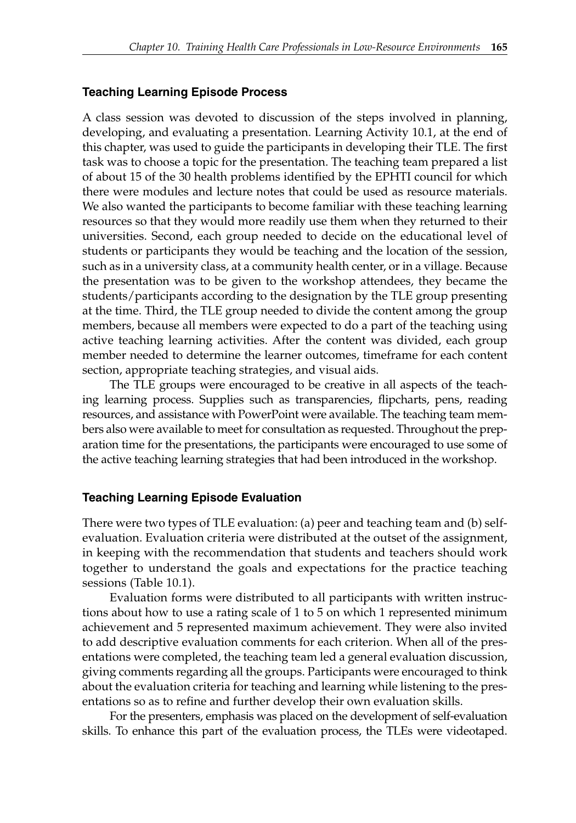#### **Teaching Learning Episode Process**

 A class session was devoted to discussion of the steps involved in planning, developing, and evaluating a presentation. Learning Activity 10.1, at the end of this chapter, was used to guide the participants in developing their TLE. The first task was to choose a topic for the presentation. The teaching team prepared a list of about 15 of the 30 health problems identified by the EPHTI council for which there were modules and lecture notes that could be used as resource materials. We also wanted the participants to become familiar with these teaching learning resources so that they would more readily use them when they returned to their universities. Second, each group needed to decide on the educational level of students or participants they would be teaching and the location of the session, such as in a university class, at a community health center, or in a village. Because the presentation was to be given to the workshop attendees, they became the students/participants according to the designation by the TLE group presenting at the time. Third, the TLE group needed to divide the content among the group members, because all members were expected to do a part of the teaching using active teaching learning activities. After the content was divided, each group member needed to determine the learner outcomes, timeframe for each content section, appropriate teaching strategies, and visual aids.

 The TLE groups were encouraged to be creative in all aspects of the teaching learning process. Supplies such as transparencies, flipcharts, pens, reading resources, and assistance with PowerPoint were available. The teaching team members also were available to meet for consultation as requested. Throughout the preparation time for the presentations, the participants were encouraged to use some of the active teaching learning strategies that had been introduced in the workshop.

#### **Teaching Learning Episode Evaluation**

 There were two types of TLE evaluation: (a) peer and teaching team and (b) selfevaluation. Evaluation criteria were distributed at the outset of the assignment, in keeping with the recommendation that students and teachers should work together to understand the goals and expectations for the practice teaching sessions (Table 10.1).

 Evaluation forms were distributed to all participants with written instructions about how to use a rating scale of 1 to 5 on which 1 represented minimum achievement and 5 represented maximum achievement. They were also invited to add descriptive evaluation comments for each criterion. When all of the presentations were completed, the teaching team led a general evaluation discussion, giving comments regarding all the groups. Participants were encouraged to think about the evaluation criteria for teaching and learning while listening to the presentations so as to refine and further develop their own evaluation skills.

 For the presenters, emphasis was placed on the development of self-evaluation skills. To enhance this part of the evaluation process, the TLEs were videotaped.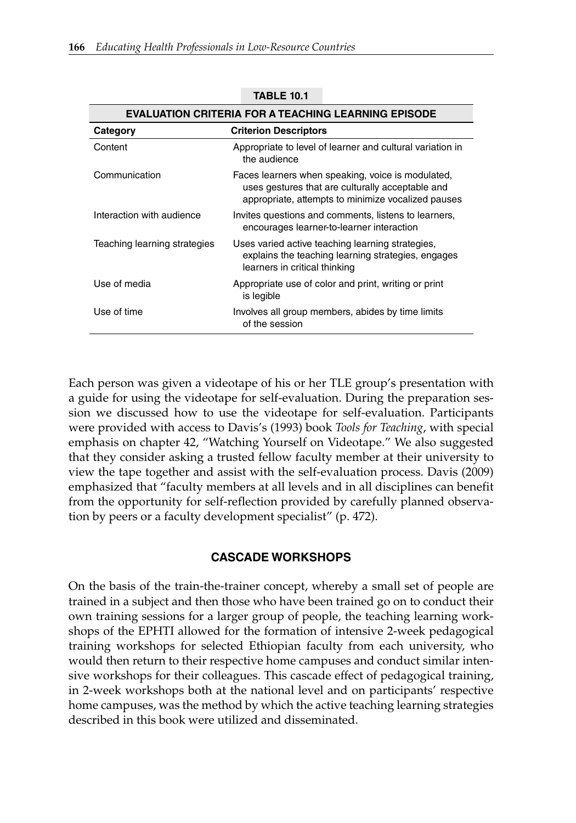| <b>EVALUATION CRITERIA FOR A TEACHING LEARNING EPISODE</b> |                                                                                                                                                             |
|------------------------------------------------------------|-------------------------------------------------------------------------------------------------------------------------------------------------------------|
| Category                                                   | <b>Criterion Descriptors</b>                                                                                                                                |
| Content                                                    | Appropriate to level of learner and cultural variation in<br>the audience                                                                                   |
| Communication                                              | Faces learners when speaking, voice is modulated,<br>uses gestures that are culturally acceptable and<br>appropriate, attempts to minimize vocalized pauses |
| Interaction with audience                                  | Invites questions and comments, listens to learners,<br>encourages learner-to-learner interaction                                                           |
| Teaching learning strategies                               | Uses varied active teaching learning strategies,<br>explains the teaching learning strategies, engages<br>learners in critical thinking                     |
| Use of media                                               | Appropriate use of color and print, writing or print<br>is legible                                                                                          |
| Use of time                                                | Involves all group members, abides by time limits<br>of the session                                                                                         |

**TABLE 10.1** 

Each person was given a videotape of his or her TLE group's presentation with a guide for using the videotape for self-evaluation. During the preparation session we discussed how to use the videotape for self-evaluation. Participants were provided with access to Davis's (1993) book *Tools for Teaching* , with special emphasis on chapter 42, "Watching Yourself on Videotape." We also suggested that they consider asking a trusted fellow faculty member at their university to view the tape together and assist with the self-evaluation process. Davis (2009) emphasized that "faculty members at all levels and in all disciplines can benefit from the opportunity for self-reflection provided by carefully planned observation by peers or a faculty development specialist" (p. 472).

#### **CASCADE WORKSHOPS**

 On the basis of the train-the-trainer concept, whereby a small set of people are trained in a subject and then those who have been trained go on to conduct their own training sessions for a larger group of people, the teaching learning workshops of the EPHTI allowed for the formation of intensive 2-week pedagogical training workshops for selected Ethiopian faculty from each university, who would then return to their respective home campuses and conduct similar intensive workshops for their colleagues. This cascade effect of pedagogical training, in 2-week workshops both at the national level and on participants' respective home campuses, was the method by which the active teaching learning strategies described in this book were utilized and disseminated.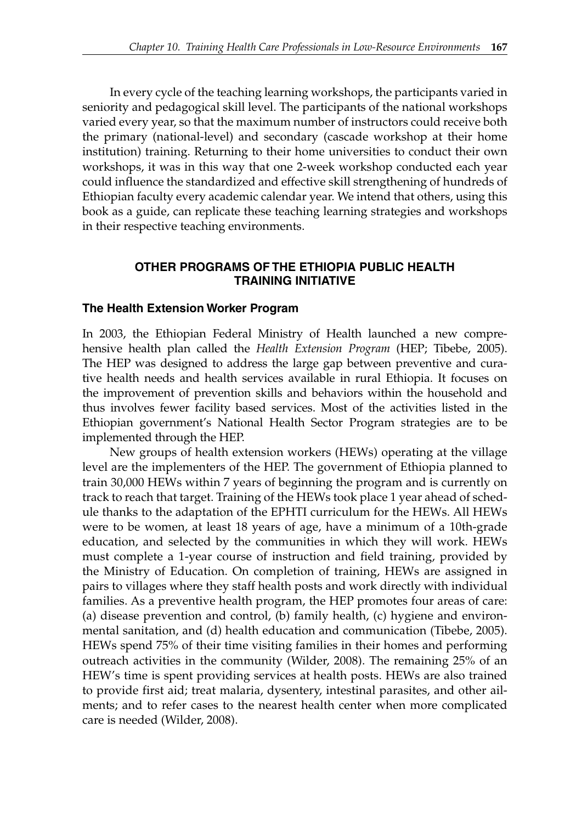In every cycle of the teaching learning workshops, the participants varied in seniority and pedagogical skill level. The participants of the national workshops varied every year, so that the maximum number of instructors could receive both the primary (national-level) and secondary (cascade workshop at their home institution) training. Returning to their home universities to conduct their own workshops, it was in this way that one 2-week workshop conducted each year could influence the standardized and effective skill strengthening of hundreds of Ethiopian faculty every academic calendar year. We intend that others, using this book as a guide, can replicate these teaching learning strategies and workshops in their respective teaching environments.

#### **OTHER PROGRAMS OF THE ETHIOPIA PUBLIC HEALTH TRAINING INITIATIVE**

#### **The Health Extension Worker Program**

 In 2003, the Ethiopian Federal Ministry of Health launched a new comprehensive health plan called the *Health Extension Program* (HEP; Tibebe, 2005). The HEP was designed to address the large gap between preventive and curative health needs and health services available in rural Ethiopia. It focuses on the improvement of prevention skills and behaviors within the household and thus involves fewer facility based services. Most of the activities listed in the Ethiopian government's National Health Sector Program strategies are to be implemented through the HEP.

 New groups of health extension workers (HEWs) operating at the village level are the implementers of the HEP. The government of Ethiopia planned to train 30,000 HEWs within 7 years of beginning the program and is currently on track to reach that target. Training of the HEWs took place 1 year ahead of schedule thanks to the adaptation of the EPHTI curriculum for the HEWs. All HEWs were to be women, at least 18 years of age, have a minimum of a 10th-grade education, and selected by the communities in which they will work. HEWs must complete a 1-year course of instruction and field training, provided by the Ministry of Education. On completion of training, HEWs are assigned in pairs to villages where they staff health posts and work directly with individual families. As a preventive health program, the HEP promotes four areas of care: (a) disease prevention and control, (b) family health, (c) hygiene and environmental sanitation, and (d) health education and communication (Tibebe, 2005). HEWs spend 75% of their time visiting families in their homes and performing outreach activities in the community (Wilder, 2008). The remaining 25% of an HEW's time is spent providing services at health posts. HEWs are also trained to provide first aid; treat malaria, dysentery, intestinal parasites, and other ailments; and to refer cases to the nearest health center when more complicated care is needed (Wilder, 2008).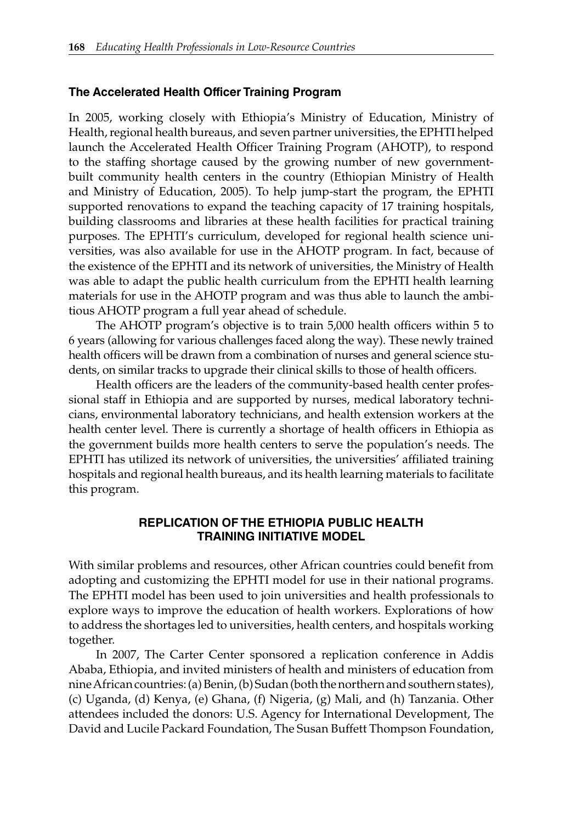#### **The Accelerated Health Officer Training Program**

 In 2005, working closely with Ethiopia's Ministry of Education, Ministry of Health, regional health bureaus, and seven partner universities, the EPHTI helped launch the Accelerated Health Officer Training Program (AHOTP), to respond to the staffing shortage caused by the growing number of new governmentbuilt community health centers in the country (Ethiopian Ministry of Health and Ministry of Education, 2005). To help jump-start the program, the EPHTI supported renovations to expand the teaching capacity of 17 training hospitals, building classrooms and libraries at these health facilities for practical training purposes. The EPHTI's curriculum, developed for regional health science universities, was also available for use in the AHOTP program. In fact, because of the existence of the EPHTI and its network of universities, the Ministry of Health was able to adapt the public health curriculum from the EPHTI health learning materials for use in the AHOTP program and was thus able to launch the ambitious AHOTP program a full year ahead of schedule.

 The AHOTP program's objective is to train 5,000 health officers within 5 to 6 years (allowing for various challenges faced along the way). These newly trained health officers will be drawn from a combination of nurses and general science students, on similar tracks to upgrade their clinical skills to those of health officers.

 Health officers are the leaders of the community-based health center professional staff in Ethiopia and are supported by nurses, medical laboratory technicians, environmental laboratory technicians, and health extension workers at the health center level. There is currently a shortage of health officers in Ethiopia as the government builds more health centers to serve the population's needs. The EPHTI has utilized its network of universities, the universities' affiliated training hospitals and regional health bureaus, and its health learning materials to facilitate this program.

#### **REPLICATION OF THE ETHIOPIA PUBLIC HEALTH TRAINING INITIATIVE MODEL**

 With similar problems and resources, other African countries could benefit from adopting and customizing the EPHTI model for use in their national programs. The EPHTI model has been used to join universities and health professionals to explore ways to improve the education of health workers. Explorations of how to address the shortages led to universities, health centers, and hospitals working together.

 In 2007, The Carter Center sponsored a replication conference in Addis Ababa, Ethiopia, and invited ministers of health and ministers of education from nine African countries: (a) Benin, (b) Sudan (both the northern and southern states), (c) Uganda, (d) Kenya, (e) Ghana, (f) Nigeria, (g) Mali, and (h) Tanzania. Other attendees included the donors: U.S. Agency for International Development, The David and Lucile Packard Foundation, The Susan Buffett Thompson Foundation,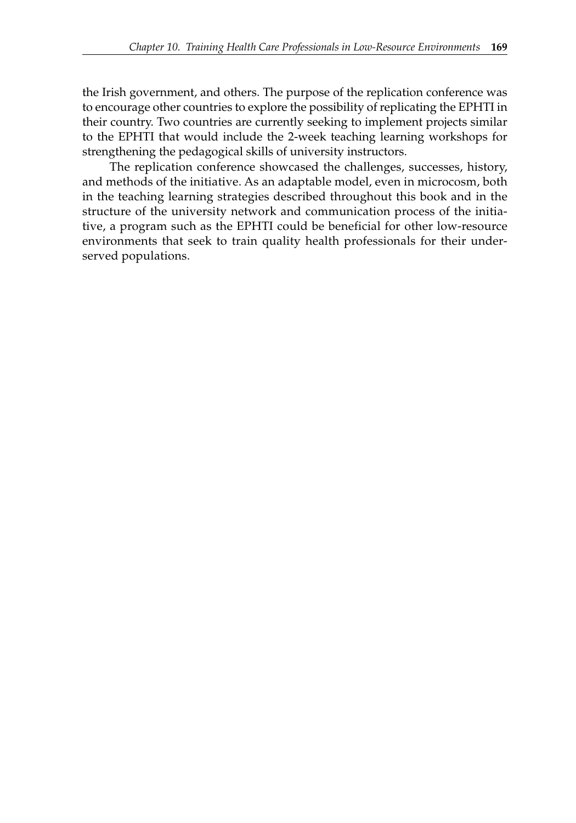the Irish government, and others. The purpose of the replication conference was to encourage other countries to explore the possibility of replicating the EPHTI in their country. Two countries are currently seeking to implement projects similar to the EPHTI that would include the 2-week teaching learning workshops for strengthening the pedagogical skills of university instructors.

 The replication conference showcased the challenges, successes, history, and methods of the initiative. As an adaptable model, even in microcosm, both in the teaching learning strategies described throughout this book and in the structure of the university network and communication process of the initiative, a program such as the EPHTI could be beneficial for other low-resource environments that seek to train quality health professionals for their underserved populations.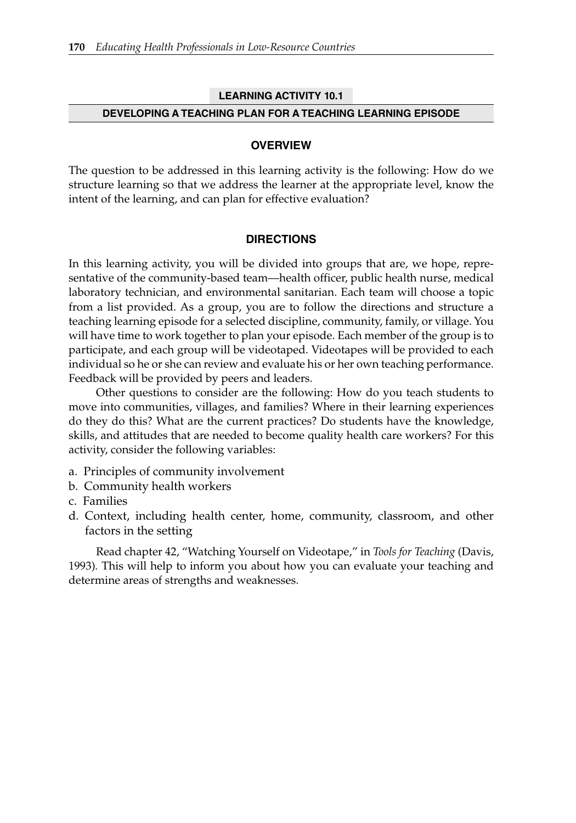#### **LEARNING ACTIVITY 10.1**

#### **DEVELOPING A TEACHING PLAN FOR A TEACHING LEARNING EPISODE**

#### **OVERVIEW**

 The question to be addressed in this learning activity is the following: How do we structure learning so that we address the learner at the appropriate level, know the intent of the learning, and can plan for effective evaluation?

#### **DIRECTIONS**

 In this learning activity, you will be divided into groups that are, we hope, representative of the community-based team—health officer, public health nurse, medical laboratory technician, and environmental sanitarian. Each team will choose a topic from a list provided. As a group, you are to follow the directions and structure a teaching learning episode for a selected discipline, community, family, or village. You will have time to work together to plan your episode. Each member of the group is to participate, and each group will be videotaped. Videotapes will be provided to each individual so he or she can review and evaluate his or her own teaching performance. Feedback will be provided by peers and leaders.

 Other questions to consider are the following: How do you teach students to move into communities, villages, and families? Where in their learning experiences do they do this? What are the current practices? Do students have the knowledge, skills, and attitudes that are needed to become quality health care workers? For this activity, consider the following variables:

- a. Principles of community involvement
- b. Community health workers
- c. Families
- d. Context, including health center, home, community, classroom, and other factors in the setting

 Read chapter 42, "Watching Yourself on Videotape," in *Tools for Teaching* (Davis, 1993) *.* This will help to inform you about how you can evaluate your teaching and determine areas of strengths and weaknesses.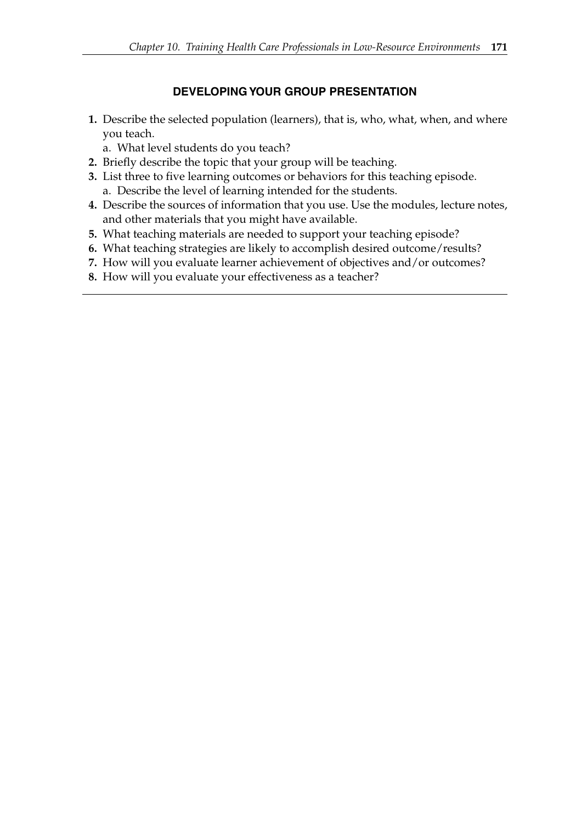# **DEVELOPING YOUR GROUP PRESENTATION**

- **1.** Describe the selected population (learners), that is, who, what, when, and where you teach.
	- a. What level students do you teach?
- **2.** Briefly describe the topic that your group will be teaching.
- **3.** List three to five learning outcomes or behaviors for this teaching episode. a. Describe the level of learning intended for the students.
- **4.** Describe the sources of information that you use. Use the modules, lecture notes, and other materials that you might have available.
- **5.** What teaching materials are needed to support your teaching episode?
- **6.** What teaching strategies are likely to accomplish desired outcome/results?
- **7.** How will you evaluate learner achievement of objectives and/or outcomes?
- **8.** How will you evaluate your effectiveness as a teacher?